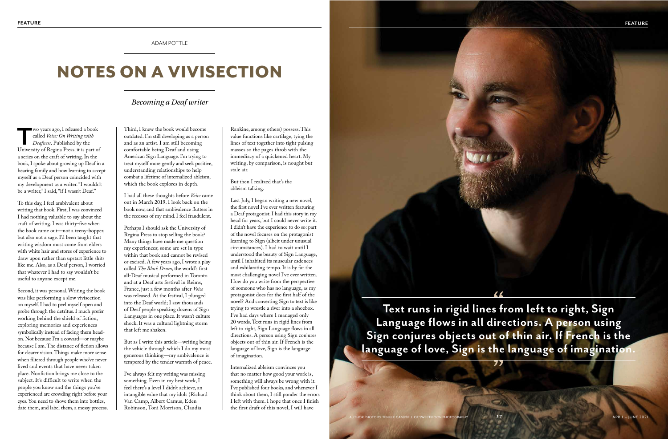### ADAM POTTLE

# NOTES ON A VIVISECTION

## *Becoming a Deaf writer*

**T**wo years ago, I released a book called *Voice: On Writing with Deafness*. Published by the University of Regina Press, it is part of a series on the craft of writing. In the book, I spoke about growing up Deaf in a hearing family and how learning to accept myself as a Deaf person coincided with my development as a writer. "I wouldn't be a writer," I said, "if I wasn't Deaf."

To this day, I feel ambivalent about writing that book. First, I was convinced I had nothing valuable to say about the craft of writing. I was thirty-five when the book came out—not a teeny-bopper, but also not a sage. I'd been taught that writing wisdom must come from elders with white hair and stores of experience to draw upon rather than upstart little shits like me. Also, as a Deaf person, I worried that whatever I had to say wouldn't be useful to anyone except me.

Second, it was personal. Writing the book was like performing a slow vivisection on myself. I had to peel myself open and probe through the detritus. I much prefer working behind the shield of fiction, exploring memories and experiences symbolically instead of facing them headon. Not because I'm a coward—or maybe because I am. The distance of fiction allows for clearer vision. Things make more sense when filtered through people who've never lived and events that have never taken place. Nonfiction brings me close to the subject. It's difficult to write when the people you know and the things you've experienced are crowding right before your eyes. You need to shove them into bottles, date them, and label them, a messy process.

Third, I knew the book would become outdated. I'm still developing as a person and as an artist. I am still becoming comfortable being Deaf and using American Sign Language. I'm trying to treat myself more gently and seek positive, understanding relationships to help combat a lifetime of internalized ableism, which the book explores in depth.

I had all these thoughts before *Voice* came out in March 2019. I look back on the book now, and that ambivalence flutters in the recesses of my mind. I feel fraudulent.

Perhaps I should ask the University of Regina Press to stop selling the book? Many things have made me question my experiences; some are set in type within that book and cannot be revised or excised. A few years ago, I wrote a play called *The Black Drum*, the world's first all-Deaf musical performed in Toronto and at a Deaf arts festival in Reims, France, just a few months after *Voice* was released. At the festival, I plunged into the Deaf world; I saw thousands of Deaf people speaking dozens of Sign Languages in one place. It wasn't culture shock. It was a cultural lightning storm that left me shaken.

But as I write this article—writing being the vehicle through which I do my most generous thinking—my ambivalence is tempered by the tender warmth of peace.

I've always felt my writing was missing something. Even in my best work, I feel there's a level I didn't achieve, an intangible value that my idols (Richard Van Camp, Albert Camus, Eden Robinson, Toni Morrison, Claudia

Rankine, among others) possess. This value functions like cartilage, tying the lines of text together into tight pulsing masses so the pages throb with the immediacy of a quickened heart. My writing, by comparison, is nought but stale air.

But then I realized that's the ableism talking.

Last July, I began writing a new novel, the first novel I've ever written featuring a Deaf protagonist. I had this story in my head for years, but I could never write it. I didn't have the experience to do so: part of the novel focuses on the protagonist learning to Sign (albeit under unusual circumstances). I had to wait until I understood the beauty of Sign Language, until I inhabited its muscular cadences and exhilarating tempo. It is by far the most challenging novel I've ever written. How do you write from the perspective of someone who has no language, as my protagonist does for the first half of the novel? And converting Sign to text is like trying to wrestle a river into a shoebox. I've had days where I managed only 20 words. Text runs in rigid lines from left to right, Sign Language flows in all directions. A person using Sign conjures objects out of thin air. If French is the language of love, Sign is the language of imagination.

Internalized ableism convinces you that no matter how good your work is, something will always be wrong with it. I've published four books, and whenever I think about them, I still ponder the errors I left with them. I hope that once I finish the first draft of this novel, I will have

**Text runs in rigid lines from left to right, Sign Language flows in all directions. A person using Sign conjures objects out of thin air. If French is the language of love, Sign is the language of imagination.**